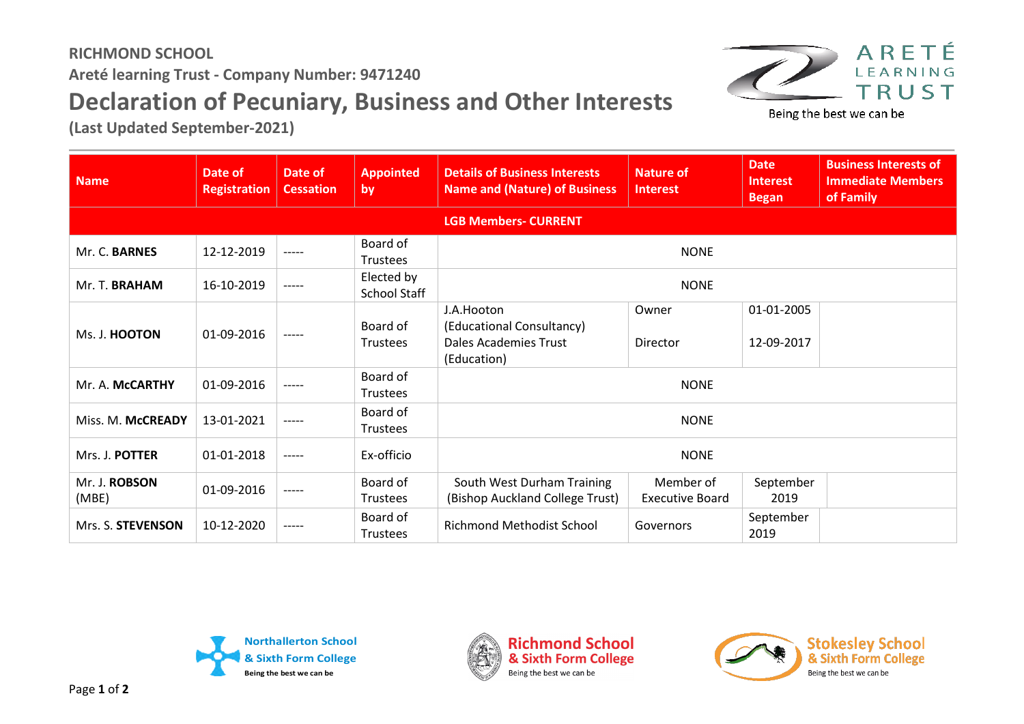## **RICHMOND SCHOOL Areté learning Trust - Company Number: 9471240 Declaration of Pecuniary, Business and Other Interests**

**(Last Updated September-2021)**



Being the best we can be

| <b>Name</b>            | Date of<br><b>Registration</b> | Date of<br><b>Cessation</b> | <b>Appointed</b><br>by      | <b>Details of Business Interests</b><br><b>Name and (Nature) of Business</b>           | <b>Nature of</b><br><b>Interest</b> | <b>Date</b><br><b>Interest</b><br><b>Began</b> | <b>Business Interests of</b><br><b>Immediate Members</b><br>of Family |  |
|------------------------|--------------------------------|-----------------------------|-----------------------------|----------------------------------------------------------------------------------------|-------------------------------------|------------------------------------------------|-----------------------------------------------------------------------|--|
|                        |                                |                             |                             | <b>LGB Members- CURRENT</b>                                                            |                                     |                                                |                                                                       |  |
| Mr. C. BARNES          | 12-12-2019                     | -----                       | Board of<br><b>Trustees</b> | <b>NONE</b>                                                                            |                                     |                                                |                                                                       |  |
| Mr. T. BRAHAM          | 16-10-2019                     | $--- - -$                   | Elected by<br>School Staff  | <b>NONE</b>                                                                            |                                     |                                                |                                                                       |  |
| Ms. J. HOOTON          | 01-09-2016                     | -----                       | Board of<br><b>Trustees</b> | J.A.Hooton<br>(Educational Consultancy)<br><b>Dales Academies Trust</b><br>(Education) | Owner<br>Director                   | 01-01-2005<br>12-09-2017                       |                                                                       |  |
| Mr. A. McCARTHY        | 01-09-2016                     | $--- - -$                   | Board of<br><b>Trustees</b> | <b>NONE</b>                                                                            |                                     |                                                |                                                                       |  |
| Miss. M. McCREADY      | 13-01-2021                     | $--- - -$                   | Board of<br>Trustees        | <b>NONE</b>                                                                            |                                     |                                                |                                                                       |  |
| Mrs. J. POTTER         | 01-01-2018                     | $--- - -$                   | Ex-officio                  | <b>NONE</b>                                                                            |                                     |                                                |                                                                       |  |
| Mr. J. ROBSON<br>(MBE) | 01-09-2016                     | $--- - -$                   | Board of<br><b>Trustees</b> | South West Durham Training<br>(Bishop Auckland College Trust)                          | Member of<br><b>Executive Board</b> | September<br>2019                              |                                                                       |  |
| Mrs. S. STEVENSON      | 10-12-2020                     | $--- - -$                   | Board of<br>Trustees        | <b>Richmond Methodist School</b>                                                       | Governors                           | September<br>2019                              |                                                                       |  |